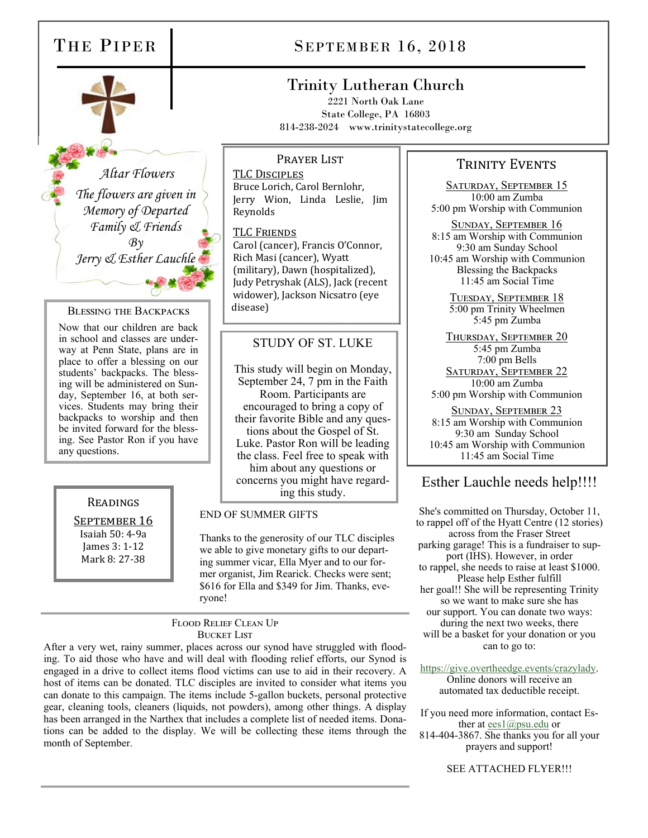

 *Altar Flowers The flowers are given in Memory of Departed Family & Friends*   $Bv$ *Jerry & Esther Lauchle* 

#### BLESSING THE BACKPACKS

Now that our children are back in school and classes are underway at Penn State, plans are in place to offer a blessing on our students' backpacks. The blessing will be administered on Sunday, September 16, at both services. Students may bring their backpacks to worship and then be invited forward for the blessing. See Pastor Ron if you have any questions.

#### READINGS

SEPTEMBER 16 Isaiah 50: 4-9a James 3: 1-12 Mark 8: 27-38

# THE PIPER SEPTEMBER 16, 2018

# Trinity Lutheran Church

2221 North Oak Lane State College, PA 16803 814-238-2024 www.trinitystatecollege.org

Prayer List

TLC DISCIPLES Bruce Lorich, Carol Bernlohr, Jerry Wion, Linda Leslie, Jim Reynolds

TLC FRIENDS Carol (cancer), Francis O'Connor, Rich Masi (cancer), Wyatt (military), Dawn (hospitalized), Judy Petryshak (ALS), Jack (recent widower), Jackson Nicsatro (eye disease)

### STUDY OF ST. LUKE

This study will begin on Monday, September 24, 7 pm in the Faith Room. Participants are encouraged to bring a copy of their favorite Bible and any questions about the Gospel of St. Luke. Pastor Ron will be leading the class. Feel free to speak with him about any questions or concerns you might have regard-

#### END OF SUMMER GIFTS

Thanks to the generosity of our TLC disciples we able to give monetary gifts to our departing summer vicar, Ella Myer and to our former organist, Jim Rearick. Checks were sent; \$616 for Ella and \$349 for Jim. Thanks, everyone!

FLOOD RELIEF CLEAN UP BUCKET LIST

After a very wet, rainy summer, places across our synod have struggled with flooding. To aid those who have and will deal with flooding relief efforts, our Synod is engaged in a drive to collect items flood victims can use to aid in their recovery. A host of items can be donated. TLC disciples are invited to consider what items you can donate to this campaign. The items include 5-gallon buckets, personal protective gear, cleaning tools, cleaners (liquids, not powders), among other things. A display has been arranged in the Narthex that includes a complete list of needed items. Donations can be added to the display. We will be collecting these items through the month of September.

### TRINITY EVENTS

SATURDAY, SEPTEMBER 15 10:00 am Zumba 5:00 pm Worship with Communion

SUNDAY, SEPTEMBER 16 8:15 am Worship with Communion 9:30 am Sunday School 10:45 am Worship with Communion Blessing the Backpacks 11:45 am Social Time

> TUESDAY, SEPTEMBER 18 5:00 pm Trinity Wheelmen 5:45 pm Zumba

THURSDAY, SEPTEMBER 20 5:45 pm Zumba 7:00 pm Bells SATURDAY, SEPTEMBER 22 10:00 am Zumba 5:00 pm Worship with Communion

SUNDAY, SEPTEMBER 23 8:15 am Worship with Communion 9:30 am Sunday School 10:45 am Worship with Communion 11:45 am Social Time

# you might have regard-<br>ing this study. Esther Lauchle needs help!!!!

She's committed on Thursday, October 11, to rappel off of the Hyatt Centre (12 stories) across from the Fraser Street parking garage! This is a fundraiser to support (IHS). However, in order to rappel, she needs to raise at least \$1000. Please help Esther fulfill her goal!! She will be representing Trinity so we want to make sure she has our support. You can donate two ways: during the next two weeks, there will be a basket for your donation or you can to go to:

https://give.overtheedge.events/crazylady. Online donors will receive an automated tax deductible receipt.

If you need more information, contact Esther at <u>ees1@psu.edu</u> or 814-404-3867. She thanks you for all your prayers and support!

SEE ATTACHED FLYER!!!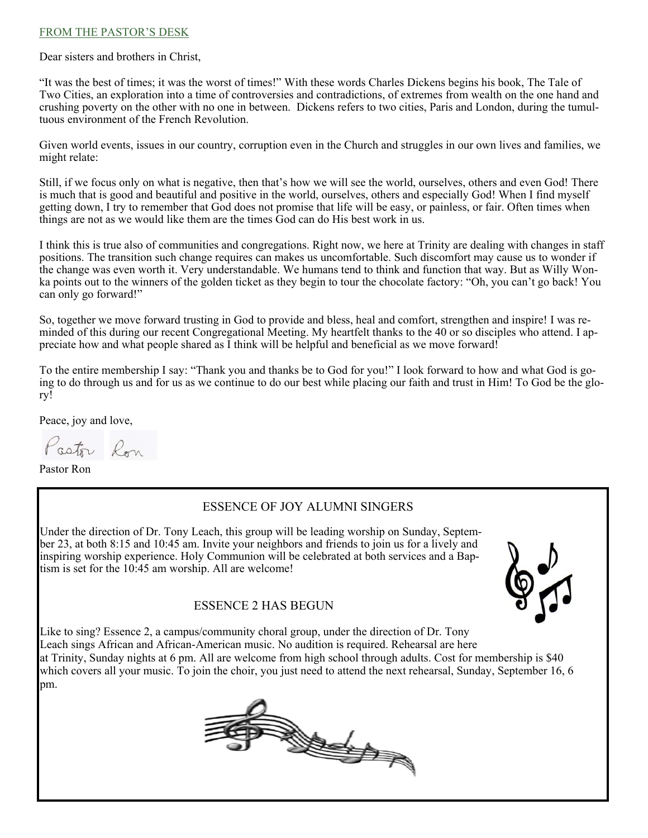#### FROM THE PASTOR'S DESK

Dear sisters and brothers in Christ,

"It was the best of times; it was the worst of times!" With these words Charles Dickens begins his book, The Tale of Two Cities, an exploration into a time of controversies and contradictions, of extremes from wealth on the one hand and crushing poverty on the other with no one in between. Dickens refers to two cities, Paris and London, during the tumultuous environment of the French Revolution.

Given world events, issues in our country, corruption even in the Church and struggles in our own lives and families, we might relate:

Still, if we focus only on what is negative, then that's how we will see the world, ourselves, others and even God! There is much that is good and beautiful and positive in the world, ourselves, others and especially God! When I find myself getting down, I try to remember that God does not promise that life will be easy, or painless, or fair. Often times when things are not as we would like them are the times God can do His best work in us.

I think this is true also of communities and congregations. Right now, we here at Trinity are dealing with changes in staff positions. The transition such change requires can makes us uncomfortable. Such discomfort may cause us to wonder if the change was even worth it. Very understandable. We humans tend to think and function that way. But as Willy Wonka points out to the winners of the golden ticket as they begin to tour the chocolate factory: "Oh, you can't go back! You can only go forward!"

So, together we move forward trusting in God to provide and bless, heal and comfort, strengthen and inspire! I was reminded of this during our recent Congregational Meeting. My heartfelt thanks to the 40 or so disciples who attend. I appreciate how and what people shared as I think will be helpful and beneficial as we move forward!

To the entire membership I say: "Thank you and thanks be to God for you!" I look forward to how and what God is going to do through us and for us as we continue to do our best while placing our faith and trust in Him! To God be the glory!

Peace, joy and love,

Pastor Ron

Pastor Ron

# ESSENCE OF JOY ALUMNI SINGERS

Under the direction of Dr. Tony Leach, this group will be leading worship on Sunday, September 23, at both 8:15 and 10:45 am. Invite your neighbors and friends to join us for a lively and inspiring worship experience. Holy Communion will be celebrated at both services and a Baptism is set for the 10:45 am worship. All are welcome!



#### ESSENCE 2 HAS BEGUN

Like to sing? Essence 2, a campus/community choral group, under the direction of Dr. Tony Leach sings African and African-American music. No audition is required. Rehearsal are here at Trinity, Sunday nights at 6 pm. All are welcome from high school through adults. Cost for membership is \$40 which covers all your music. To join the choir, you just need to attend the next rehearsal, Sunday, September 16, 6 pm.

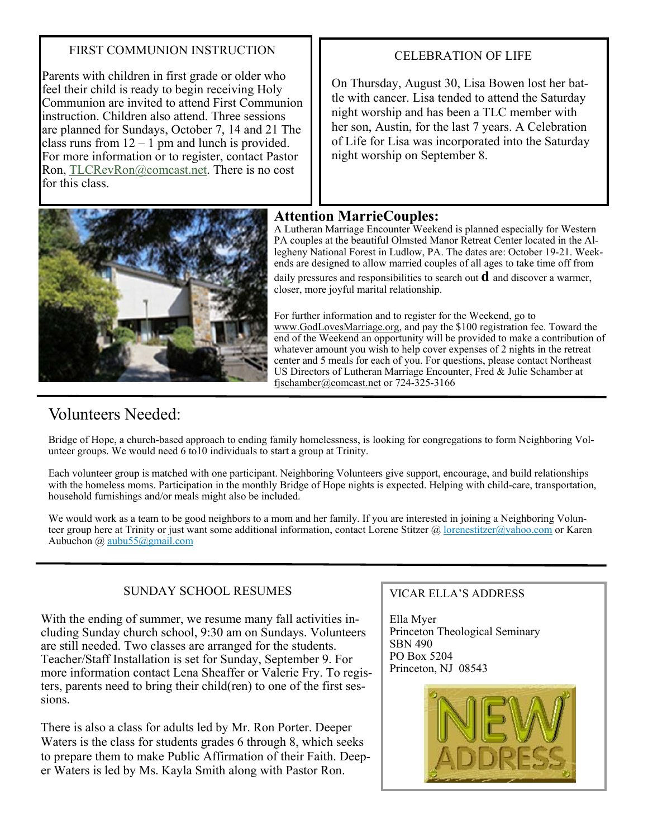# FIRST COMMUNION INSTRUCTION

Parents with children in first grade or older who feel their child is ready to begin receiving Holy Communion are invited to attend First Communion instruction. Children also attend. Three sessions are planned for Sundays, October 7, 14 and 21 The class runs from  $12 - 1$  pm and lunch is provided. For more information or to register, contact Pastor Ron, TLCRevRon@comcast.net. There is no cost for this class.



# CELEBRATION OF LIFE

On Thursday, August 30, Lisa Bowen lost her battle with cancer. Lisa tended to attend the Saturday night worship and has been a TLC member with her son, Austin, for the last 7 years. A Celebration of Life for Lisa was incorporated into the Saturday night worship on September 8.

# **Attention MarrieCouples:**

A Lutheran Marriage Encounter Weekend is planned especially for Western PA couples at the beautiful Olmsted Manor Retreat Center located in the Allegheny National Forest in Ludlow, PA. The dates are: October 19-21. Weekends are designed to allow married couples of all ages to take time off from daily pressures and responsibilities to search out **d** and discover a warmer, closer, more joyful marital relationship.

For further information and to register for the Weekend, go to www.GodLovesMarriage.org, and pay the \$100 registration fee. Toward the end of the Weekend an opportunity will be provided to make a contribution of whatever amount you wish to help cover expenses of 2 nights in the retreat center and 5 meals for each of you. For questions, please contact Northeast US Directors of Lutheran Marriage Encounter, Fred & Julie Schamber at fjschamber@comcast.net or 724-325-3166

# Volunteers Needed:

Bridge of Hope, a church-based approach to ending family homelessness, is looking for congregations to form Neighboring Volunteer groups. We would need 6 to10 individuals to start a group at Trinity.

Each volunteer group is matched with one participant. Neighboring Volunteers give support, encourage, and build relationships with the homeless moms. Participation in the monthly Bridge of Hope nights is expected. Helping with child-care, transportation, household furnishings and/or meals might also be included.

We would work as a team to be good neighbors to a mom and her family. If you are interested in joining a Neighboring Volunteer group here at Trinity or just want some additional information, contact Lorene Stitzer @ lorenestitzer@yahoo.com or Karen Aubuchon @ aubu55@gmail.com

# SUNDAY SCHOOL RESUMES

With the ending of summer, we resume many fall activities including Sunday church school, 9:30 am on Sundays. Volunteers are still needed. Two classes are arranged for the students. Teacher/Staff Installation is set for Sunday, September 9. For more information contact Lena Sheaffer or Valerie Fry. To registers, parents need to bring their child(ren) to one of the first sessions.

There is also a class for adults led by Mr. Ron Porter. Deeper Waters is the class for students grades 6 through 8, which seeks to prepare them to make Public Affirmation of their Faith. Deeper Waters is led by Ms. Kayla Smith along with Pastor Ron.

# VICAR ELLA'S ADDRESS

Ella Myer Princeton Theological Seminary SBN 490 PO Box 5204 Princeton, NJ 08543

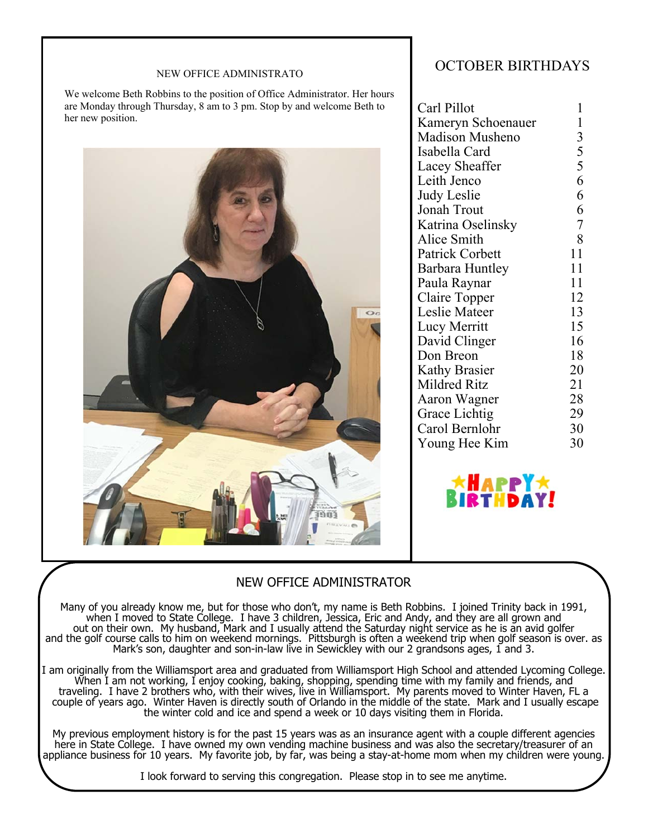#### NEW OFFICE ADMINISTRATO

We welcome Beth Robbins to the position of Office Administrator. Her hours are Monday through Thursday, 8 am to 3 pm. Stop by and welcome Beth to her new position.



# OCTOBER BIRTHDAYS

| Carl Pillot            | 1             |
|------------------------|---------------|
| Kameryn Schoenauer     | 1             |
| <b>Madison Musheno</b> |               |
| Isabella Card          |               |
| Lacey Sheaffer         | 35566         |
| Leith Jenco            |               |
| Judy Leslie            |               |
| Jonah Trout            | $\frac{6}{7}$ |
| Katrina Oselinsky      |               |
| Alice Smith            | 8             |
| <b>Patrick Corbett</b> | 11            |
| Barbara Huntley        | 11            |
| Paula Raynar           | 11            |
| Claire Topper          | 12            |
| Leslie Mateer          | 13            |
| Lucy Merritt           | 15            |
| David Clinger          | 16            |
| Don Breon              | 18            |
| <b>Kathy Brasier</b>   | 20            |
| <b>Mildred Ritz</b>    | 21            |
| Aaron Wagner           | 28            |
| Grace Lichtig          | 29            |
| Carol Bernlohr         | 30            |
| Young Hee Kim          | 30            |
|                        |               |



# NEW OFFICE ADMINISTRATOR

Many of you already know me, but for those who don't, my name is Beth Robbins. I joined Trinity back in 1991, when I moved to State College. I have 3 children, Jessica, Eric and Andy, and they are all grown and out on their own. My husband, Mark and I usually attend the Saturday night service as he is an avid golfer and the golf course calls to him on weekend mornings. Pittsburgh is often a weekend trip when golf season is over. as Mark's son, daughter and son-in-law live in Sewickley with our 2 grandsons ages, 1 and 3.

I am originally from the Williamsport area and graduated from Williamsport High School and attended Lycoming College. When I am not working, I enjoy cooking, baking, shopping, spending time with my family and friends, and traveling. I have 2 brothers who, with their wives, live in Williamsport. My parents moved to Winter Haven, FL a couple of years ago. Winter Haven is directly south of Orlando in the middle of the state. Mark and I usually escape the winter cold and ice and spend a week or 10 days visiting them in Florida.

My previous employment history is for the past 15 years was as an insurance agent with a couple different agencies here in State College. I have owned my own vending machine business and was also the secretary/treasurer of an appliance business for 10 years. My favorite job, by far, was being a stay-at-home mom when my children were young.

I look forward to serving this congregation. Please stop in to see me anytime.